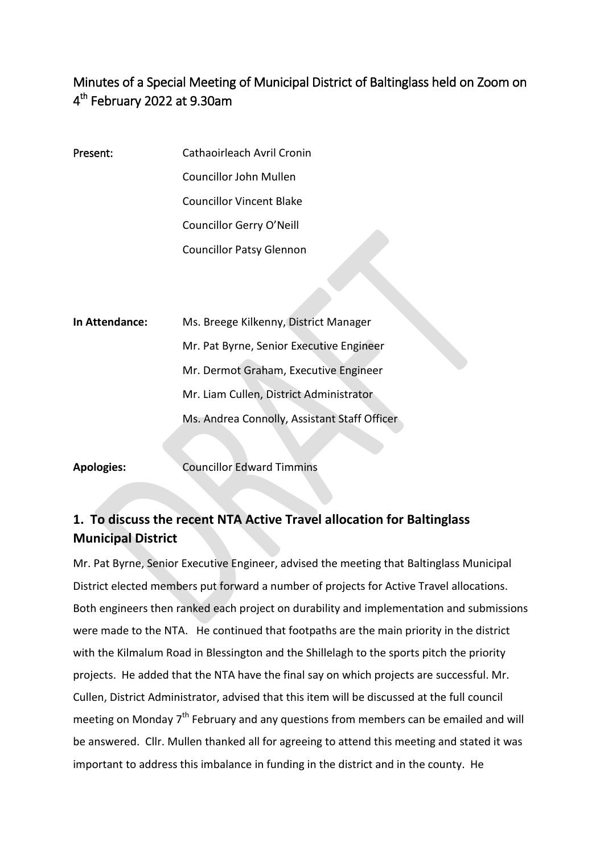## Minutes of a Special Meeting of Municipal District of Baltinglass held on Zoom on 4<sup>th</sup> February 2022 at 9.30am

- Present: Cathaoirleach Avril Cronin Councillor John Mullen Councillor Vincent Blake Councillor Gerry O'Neill Councillor Patsy Glennon
- **In Attendance:** Ms. Breege Kilkenny, District Manager Mr. Pat Byrne, Senior Executive Engineer Mr. Dermot Graham, Executive Engineer Mr. Liam Cullen, District Administrator Ms. Andrea Connolly, Assistant Staff Officer

**Apologies:** Councillor Edward Timmins

## **1. To discuss the recent NTA Active Travel allocation for Baltinglass Municipal District**

Mr. Pat Byrne, Senior Executive Engineer, advised the meeting that Baltinglass Municipal District elected members put forward a number of projects for Active Travel allocations. Both engineers then ranked each project on durability and implementation and submissions were made to the NTA. He continued that footpaths are the main priority in the district with the Kilmalum Road in Blessington and the Shillelagh to the sports pitch the priority projects. He added that the NTA have the final say on which projects are successful. Mr. Cullen, District Administrator, advised that this item will be discussed at the full council meeting on Monday 7<sup>th</sup> February and any questions from members can be emailed and will be answered. Cllr. Mullen thanked all for agreeing to attend this meeting and stated it was important to address this imbalance in funding in the district and in the county. He